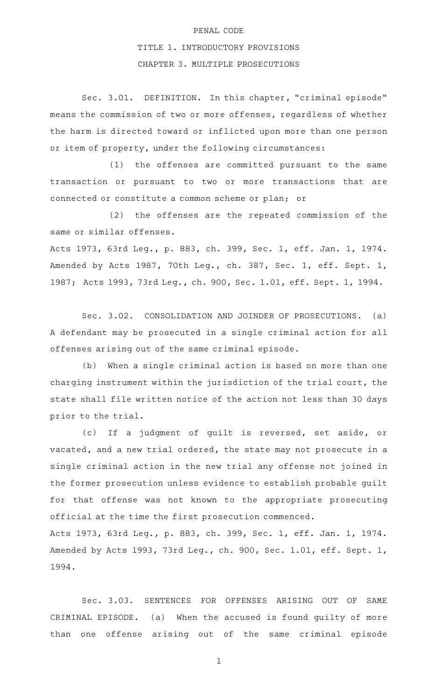## PENAL CODE

## TITLE 1. INTRODUCTORY PROVISIONS

## CHAPTER 3. MULTIPLE PROSECUTIONS

Sec. 3.01. DEFINITION. In this chapter, "criminal episode" means the commission of two or more offenses, regardless of whether the harm is directed toward or inflicted upon more than one person or item of property, under the following circumstances:

 $(1)$  the offenses are committed pursuant to the same transaction or pursuant to two or more transactions that are connected or constitute a common scheme or plan; or

(2) the offenses are the repeated commission of the same or similar offenses.

Acts 1973, 63rd Leg., p. 883, ch. 399, Sec. 1, eff. Jan. 1, 1974. Amended by Acts 1987, 70th Leg., ch. 387, Sec. 1, eff. Sept. 1, 1987; Acts 1993, 73rd Leg., ch. 900, Sec. 1.01, eff. Sept. 1, 1994.

Sec. 3.02. CONSOLIDATION AND JOINDER OF PROSECUTIONS. (a) A defendant may be prosecuted in a single criminal action for all offenses arising out of the same criminal episode.

(b) When a single criminal action is based on more than one charging instrument within the jurisdiction of the trial court, the state shall file written notice of the action not less than 30 days prior to the trial.

(c) If a judgment of guilt is reversed, set aside, or vacated, and a new trial ordered, the state may not prosecute in a single criminal action in the new trial any offense not joined in the former prosecution unless evidence to establish probable guilt for that offense was not known to the appropriate prosecuting official at the time the first prosecution commenced. Acts 1973, 63rd Leg., p. 883, ch. 399, Sec. 1, eff. Jan. 1, 1974. Amended by Acts 1993, 73rd Leg., ch. 900, Sec. 1.01, eff. Sept. 1, 1994.

Sec. 3.03. SENTENCES FOR OFFENSES ARISING OUT OF SAME CRIMINAL EPISODE. (a) When the accused is found guilty of more than one offense arising out of the same criminal episode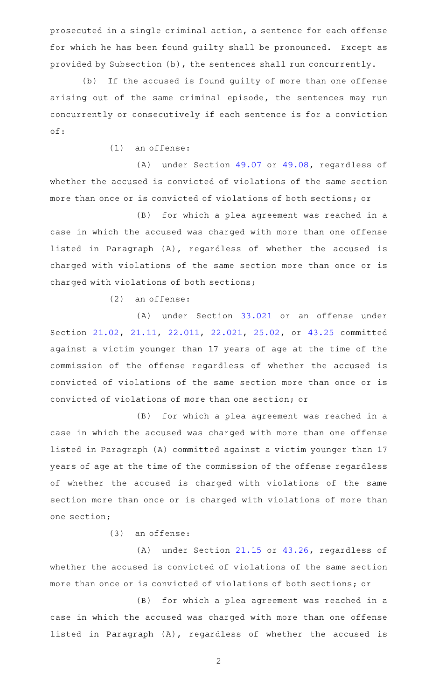prosecuted in a single criminal action, a sentence for each offense for which he has been found guilty shall be pronounced. Except as provided by Subsection (b), the sentences shall run concurrently.

(b) If the accused is found guilty of more than one offense arising out of the same criminal episode, the sentences may run concurrently or consecutively if each sentence is for a conviction of:

 $(1)$  an offense:

(A) under Section  $49.07$  or  $49.08$ , regardless of whether the accused is convicted of violations of the same section more than once or is convicted of violations of both sections; or

(B) for which a plea agreement was reached in a case in which the accused was charged with more than one offense listed in Paragraph (A), regardless of whether the accused is charged with violations of the same section more than once or is charged with violations of both sections;

 $(2)$  an offense:

(A) under Section [33.021](http://www.statutes.legis.state.tx.us/GetStatute.aspx?Code=PE&Value=33.021) or an offense under Section [21.02](http://www.statutes.legis.state.tx.us/GetStatute.aspx?Code=PE&Value=21.02), [21.11,](http://www.statutes.legis.state.tx.us/GetStatute.aspx?Code=PE&Value=21.11) [22.011](http://www.statutes.legis.state.tx.us/GetStatute.aspx?Code=PE&Value=22.011), [22.021,](http://www.statutes.legis.state.tx.us/GetStatute.aspx?Code=PE&Value=22.021) [25.02](http://www.statutes.legis.state.tx.us/GetStatute.aspx?Code=PE&Value=25.02), or [43.25](http://www.statutes.legis.state.tx.us/GetStatute.aspx?Code=PE&Value=43.25) committed against a victim younger than 17 years of age at the time of the commission of the offense regardless of whether the accused is convicted of violations of the same section more than once or is convicted of violations of more than one section; or

(B) for which a plea agreement was reached in a case in which the accused was charged with more than one offense listed in Paragraph (A) committed against a victim younger than 17 years of age at the time of the commission of the offense regardless of whether the accused is charged with violations of the same section more than once or is charged with violations of more than one section;

 $(3)$  an offense:

(A) under Section  $21.15$  or  $43.26$ , regardless of whether the accused is convicted of violations of the same section more than once or is convicted of violations of both sections; or

(B) for which a plea agreement was reached in a case in which the accused was charged with more than one offense listed in Paragraph (A), regardless of whether the accused is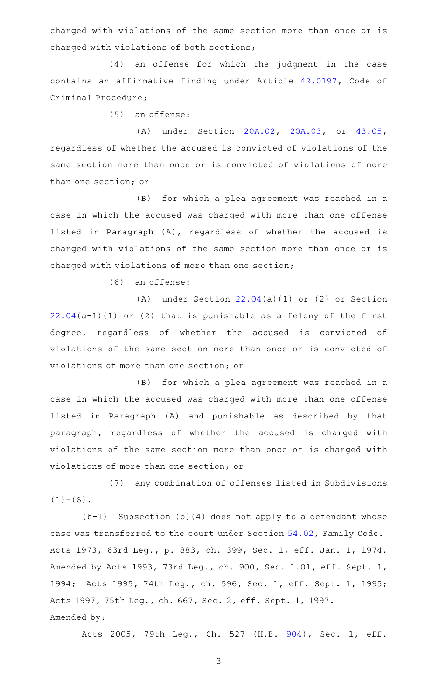charged with violations of the same section more than once or is charged with violations of both sections;

(4) an offense for which the judgment in the case contains an affirmative finding under Article [42.0197,](http://www.statutes.legis.state.tx.us/GetStatute.aspx?Code=CR&Value=42.0197) Code of Criminal Procedure;

 $(5)$  an offense:

(A) under Section [20A.02](http://www.statutes.legis.state.tx.us/GetStatute.aspx?Code=PE&Value=20A.02), [20A.03,](http://www.statutes.legis.state.tx.us/GetStatute.aspx?Code=PE&Value=20A.03) or [43.05](http://www.statutes.legis.state.tx.us/GetStatute.aspx?Code=PE&Value=43.05), regardless of whether the accused is convicted of violations of the same section more than once or is convicted of violations of more than one section; or

(B) for which a plea agreement was reached in a case in which the accused was charged with more than one offense listed in Paragraph (A), regardless of whether the accused is charged with violations of the same section more than once or is charged with violations of more than one section;

(6) an offense:

(A) under Section  $22.04(a)(1)$  $22.04(a)(1)$  or (2) or Section [22.04\(](http://www.statutes.legis.state.tx.us/GetStatute.aspx?Code=PE&Value=22.04)a-1)(1) or (2) that is punishable as a felony of the first degree, regardless of whether the accused is convicted of violations of the same section more than once or is convicted of violations of more than one section; or

(B) for which a plea agreement was reached in a case in which the accused was charged with more than one offense listed in Paragraph (A) and punishable as described by that paragraph, regardless of whether the accused is charged with violations of the same section more than once or is charged with violations of more than one section; or

(7) any combination of offenses listed in Subdivisions  $(1)-(6)$ .

 $(b-1)$  Subsection (b)(4) does not apply to a defendant whose case was transferred to the court under Section [54.02,](http://www.statutes.legis.state.tx.us/GetStatute.aspx?Code=FA&Value=54.02) Family Code. Acts 1973, 63rd Leg., p. 883, ch. 399, Sec. 1, eff. Jan. 1, 1974. Amended by Acts 1993, 73rd Leg., ch. 900, Sec. 1.01, eff. Sept. 1, 1994; Acts 1995, 74th Leg., ch. 596, Sec. 1, eff. Sept. 1, 1995; Acts 1997, 75th Leg., ch. 667, Sec. 2, eff. Sept. 1, 1997. Amended by:

Acts 2005, 79th Leg., Ch. 527 (H.B. [904\)](http://www.legis.state.tx.us/tlodocs/79R/billtext/html/HB00904F.HTM), Sec. 1, eff.